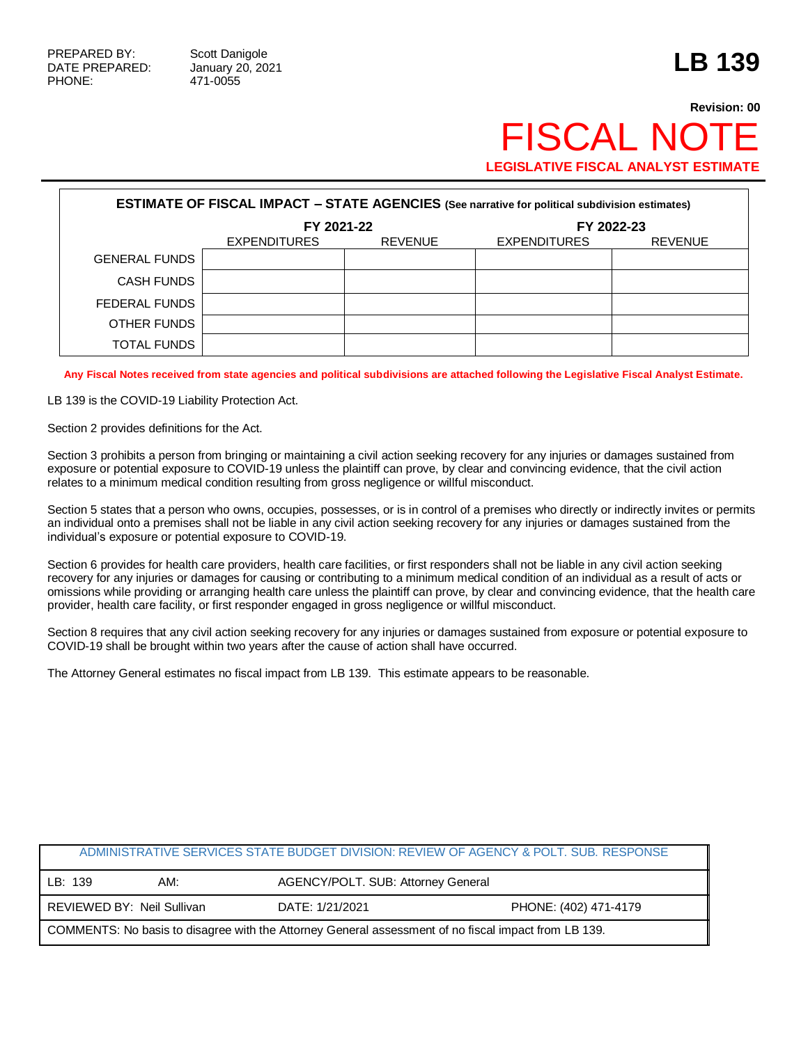## **Revision: 00 FISCAL NO LEGISLATIVE FISCAL ANALYST ESTIMATE**

| <b>ESTIMATE OF FISCAL IMPACT - STATE AGENCIES (See narrative for political subdivision estimates)</b> |                     |                |                     |                |  |
|-------------------------------------------------------------------------------------------------------|---------------------|----------------|---------------------|----------------|--|
|                                                                                                       | FY 2021-22          |                | FY 2022-23          |                |  |
|                                                                                                       | <b>EXPENDITURES</b> | <b>REVENUE</b> | <b>EXPENDITURES</b> | <b>REVENUE</b> |  |
| <b>GENERAL FUNDS</b>                                                                                  |                     |                |                     |                |  |
| CASH FUNDS                                                                                            |                     |                |                     |                |  |
| FEDERAL FUNDS                                                                                         |                     |                |                     |                |  |
| OTHER FUNDS                                                                                           |                     |                |                     |                |  |
| TOTAL FUNDS                                                                                           |                     |                |                     |                |  |

**Any Fiscal Notes received from state agencies and political subdivisions are attached following the Legislative Fiscal Analyst Estimate.**

LB 139 is the COVID-19 Liability Protection Act.

Section 2 provides definitions for the Act.

Section 3 prohibits a person from bringing or maintaining a civil action seeking recovery for any injuries or damages sustained from exposure or potential exposure to COVID-19 unless the plaintiff can prove, by clear and convincing evidence, that the civil action relates to a minimum medical condition resulting from gross negligence or willful misconduct.

Section 5 states that a person who owns, occupies, possesses, or is in control of a premises who directly or indirectly invites or permits an individual onto a premises shall not be liable in any civil action seeking recovery for any injuries or damages sustained from the individual's exposure or potential exposure to COVID-19.

Section 6 provides for health care providers, health care facilities, or first responders shall not be liable in any civil action seeking recovery for any injuries or damages for causing or contributing to a minimum medical condition of an individual as a result of acts or omissions while providing or arranging health care unless the plaintiff can prove, by clear and convincing evidence, that the health care provider, health care facility, or first responder engaged in gross negligence or willful misconduct.

Section 8 requires that any civil action seeking recovery for any injuries or damages sustained from exposure or potential exposure to COVID-19 shall be brought within two years after the cause of action shall have occurred.

The Attorney General estimates no fiscal impact from LB 139. This estimate appears to be reasonable.

|                                                                                                      |                            |                                    | ADMINISTRATIVE SERVICES STATE BUDGET DIVISION: REVIEW OF AGENCY & POLT. SUB. RESPONSE |
|------------------------------------------------------------------------------------------------------|----------------------------|------------------------------------|---------------------------------------------------------------------------------------|
| LB: 139                                                                                              | AM:                        | AGENCY/POLT. SUB: Attorney General |                                                                                       |
|                                                                                                      | REVIEWED BY: Neil Sullivan | DATE: 1/21/2021                    | PHONE: (402) 471-4179                                                                 |
| COMMENTS: No basis to disagree with the Attorney General assessment of no fiscal impact from LB 139. |                            |                                    |                                                                                       |